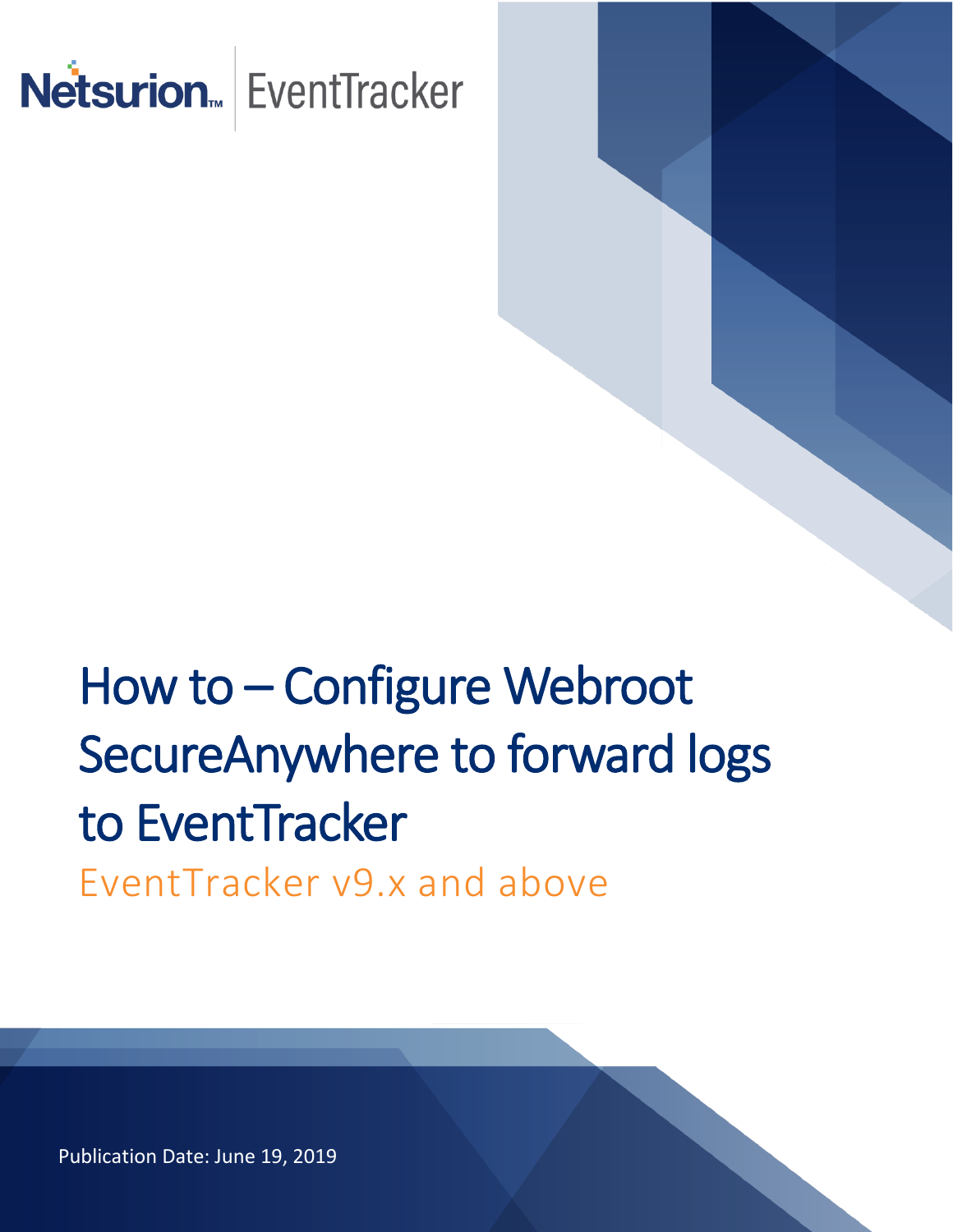

# How to – Configure Webroot SecureAnywhere to forward logs to EventTracker EventTracker v9.x and above

Publication Date: June 19, 2019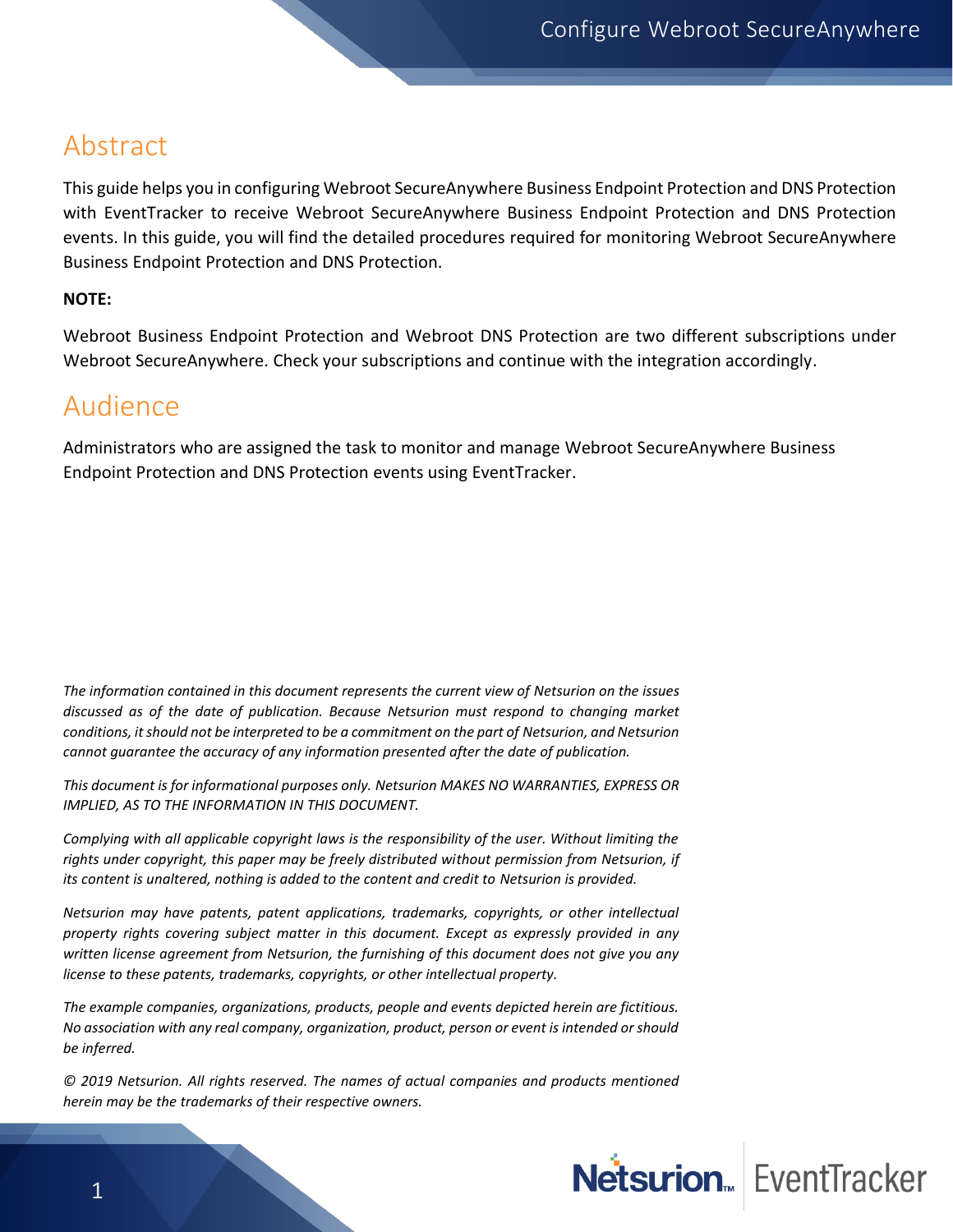#### <span id="page-1-0"></span>Abstract

This guide helps you in configuring Webroot SecureAnywhere Business Endpoint Protection and DNS Protection with EventTracker to receive Webroot SecureAnywhere Business Endpoint Protection and DNS Protection events. In this guide, you will find the detailed procedures required for monitoring Webroot SecureAnywhere Business Endpoint Protection and DNS Protection.

#### **NOTE:**

Webroot Business Endpoint Protection and Webroot DNS Protection are two different subscriptions under Webroot SecureAnywhere. Check your subscriptions and continue with the integration accordingly.

#### <span id="page-1-1"></span>Audience

Administrators who are assigned the task to monitor and manage Webroot SecureAnywhere Business Endpoint Protection and DNS Protection events using EventTracker.

*The information contained in this document represents the current view of Netsurion on the issues discussed as of the date of publication. Because Netsurion must respond to changing market conditions, it should not be interpreted to be a commitment on the part of Netsurion, and Netsurion cannot guarantee the accuracy of any information presented after the date of publication.* 

*This document is for informational purposes only. Netsurion MAKES NO WARRANTIES, EXPRESS OR IMPLIED, AS TO THE INFORMATION IN THIS DOCUMENT.* 

*Complying with all applicable copyright laws is the responsibility of the user. Without limiting the rights under copyright, this paper may be freely distributed without permission from Netsurion, if its content is unaltered, nothing is added to the content and credit to Netsurion is provided.* 

*Netsurion may have patents, patent applications, trademarks, copyrights, or other intellectual property rights covering subject matter in this document. Except as expressly provided in any written license agreement from Netsurion, the furnishing of this document does not give you any license to these patents, trademarks, copyrights, or other intellectual property.* 

*The example companies, organizations, products, people and events depicted herein are fictitious. No association with any real company, organization, product, person or event is intended or should be inferred.* 

*© 2019 Netsurion. All rights reserved. The names of actual companies and products mentioned herein may be the trademarks of their respective owners.*

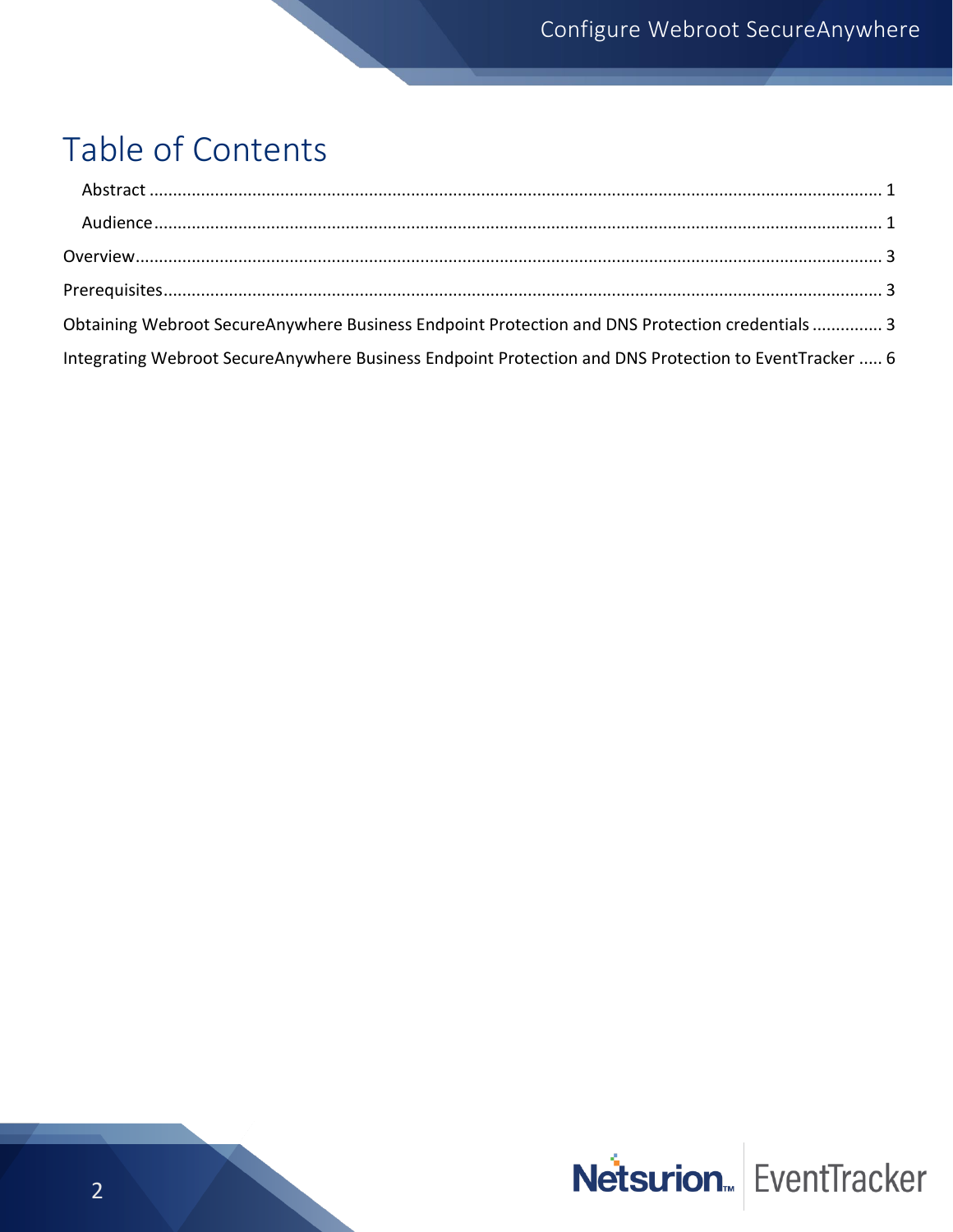### Table of Contents

| Obtaining Webroot SecureAnywhere Business Endpoint Protection and DNS Protection credentials  3       |  |
|-------------------------------------------------------------------------------------------------------|--|
| Integrating Webroot SecureAnywhere Business Endpoint Protection and DNS Protection to EventTracker  6 |  |

# Netsurion. EventTracker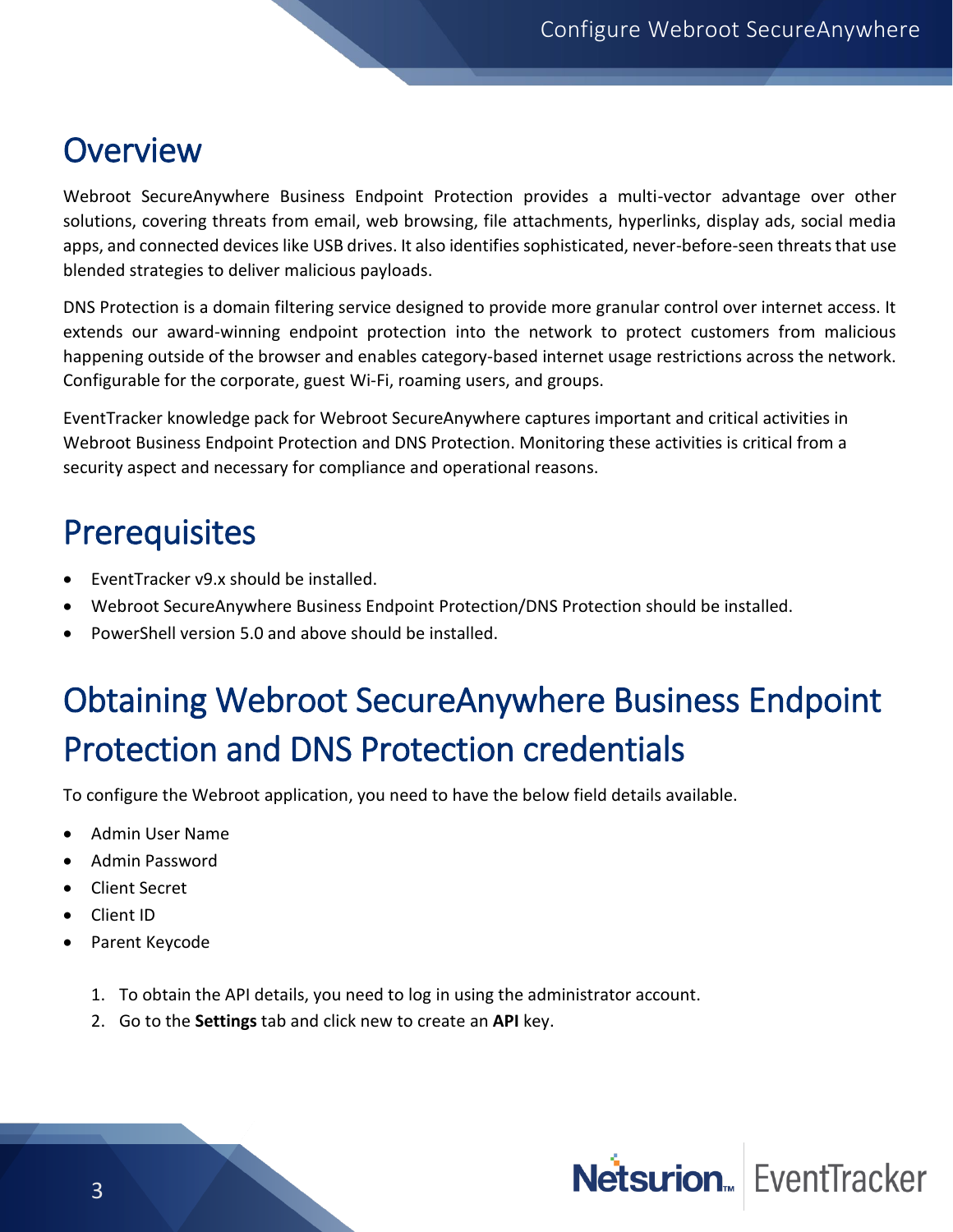### <span id="page-3-0"></span>**Overview**

Webroot SecureAnywhere Business Endpoint Protection provides a multi-vector advantage over other solutions, covering threats from email, web browsing, file attachments, hyperlinks, display ads, social media apps, and connected devices like USB drives. It also identifies sophisticated, never-before-seen threats that use blended strategies to deliver malicious payloads.

DNS Protection is a domain filtering service designed to provide more granular control over internet access. It extends our award-winning endpoint protection into the network to protect customers from malicious happening outside of the browser and enables category-based internet usage restrictions across the network. Configurable for the corporate, guest Wi-Fi, roaming users, and groups.

EventTracker knowledge pack for Webroot SecureAnywhere captures important and critical activities in Webroot Business Endpoint Protection and DNS Protection. Monitoring these activities is critical from a security aspect and necessary for compliance and operational reasons.

### <span id="page-3-1"></span>**Prerequisites**

- EventTracker v9.x should be installed.
- Webroot SecureAnywhere Business Endpoint Protection/DNS Protection should be installed.
- PowerShell version 5.0 and above should be installed.

## <span id="page-3-2"></span>Obtaining Webroot SecureAnywhere Business Endpoint Protection and DNS Protection credentials

To configure the Webroot application, you need to have the below field details available.

- Admin User Name
- Admin Password
- Client Secret
- Client ID
- Parent Keycode
	- 1. To obtain the API details, you need to log in using the administrator account.
	- 2. Go to the **Settings** tab and click new to create an **API** key.

## Netsurion<sub>«</sub> EventTracker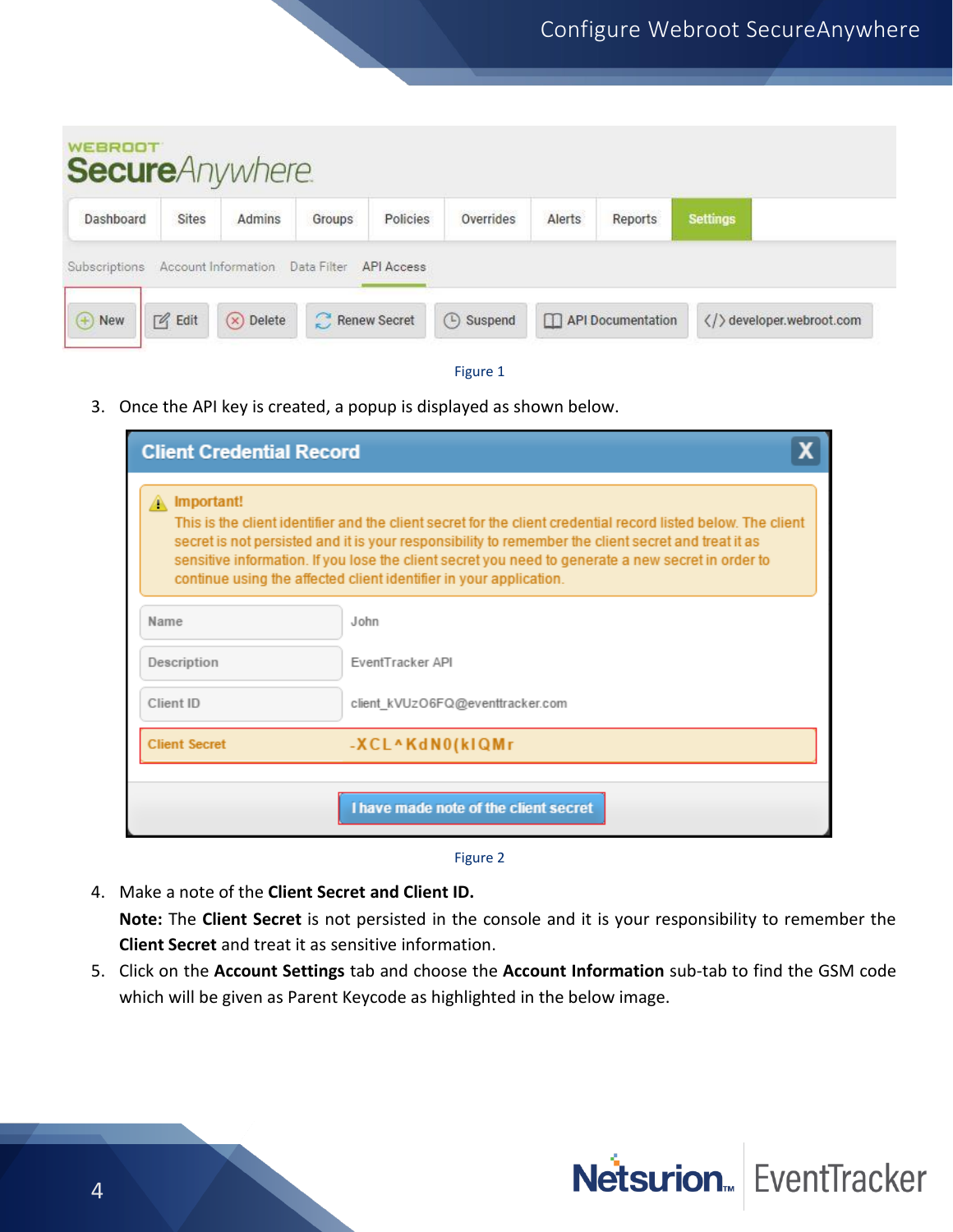| <b>WEBROOT</b>  |                 | <b>Secure</b> Anywhere.         |              |            |           |        |                   |                 |                       |
|-----------------|-----------------|---------------------------------|--------------|------------|-----------|--------|-------------------|-----------------|-----------------------|
| Dashboard       | Sites           | Admins                          | Groups       | Policies   | Overrides | Alerts | Reports           | <b>Settings</b> |                       |
| Subscriptions   |                 | Account Information Data Filter |              | API Access |           |        |                   |                 |                       |
| $\bigoplus$ New | $\sqrt{q}$ Edit | $(x)$ Delete                    | Renew Secret |            | 4 Suspend |        | API Documentation |                 | developer.webroot.com |



3. Once the API key is created, a popup is displayed as shown below.

| <b>Client Credential Record</b> |                                                                                                                                                                                                                                                                                                                                                                                                  |
|---------------------------------|--------------------------------------------------------------------------------------------------------------------------------------------------------------------------------------------------------------------------------------------------------------------------------------------------------------------------------------------------------------------------------------------------|
| Important!                      | This is the client identifier and the client secret for the client credential record listed below. The client<br>secret is not persisted and it is your responsibility to remember the client secret and treat it as<br>sensitive information. If you lose the client secret you need to generate a new secret in order to<br>continue using the affected client identifier in your application. |
| Name                            | John                                                                                                                                                                                                                                                                                                                                                                                             |
| Description                     | FventTracker API                                                                                                                                                                                                                                                                                                                                                                                 |
| Client ID                       | client kVUzO6FQ@eventtracker.com                                                                                                                                                                                                                                                                                                                                                                 |
| <b>Client Secret</b>            | -XCL^KdN0(kIQMr                                                                                                                                                                                                                                                                                                                                                                                  |
|                                 | I have made note of the client secret                                                                                                                                                                                                                                                                                                                                                            |

Figure 2

4. Make a note of the **Client Secret and Client ID.**

**Note:** The **Client Secret** is not persisted in the console and it is your responsibility to remember the **Client Secret** and treat it as sensitive information.

5. Click on the **Account Settings** tab and choose the **Account Information** sub-tab to find the GSM code which will be given as Parent Keycode as highlighted in the below image.

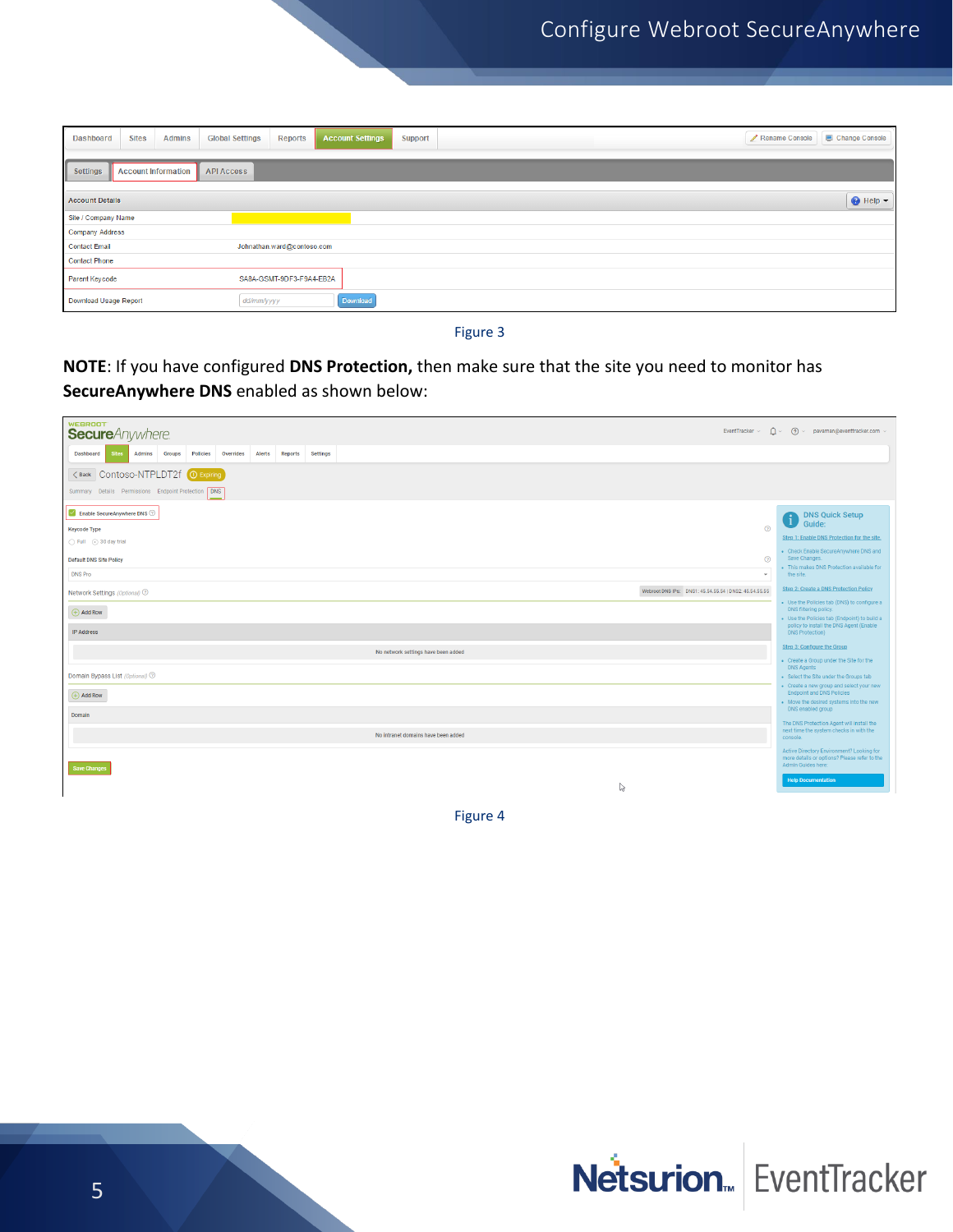| <b>Sites</b><br>Dashboard<br><b>Admins</b>                  | <b>Global Settings</b><br><b>Account Settings</b><br><b>Reports</b><br><b>Support</b> | Change Console<br>Rename Console |
|-------------------------------------------------------------|---------------------------------------------------------------------------------------|----------------------------------|
| Settings<br><b>Account Information</b><br><b>API Access</b> |                                                                                       |                                  |
| <b>Account Details</b>                                      |                                                                                       | $\bigcirc$ Help $\bigcirc$       |
| Site / Company Name                                         |                                                                                       |                                  |
| <b>Company Address</b>                                      |                                                                                       |                                  |
| <b>Contact Email</b>                                        | Johnathan.ward@contoso.com                                                            |                                  |
| <b>Contact Phone</b>                                        |                                                                                       |                                  |
| Parent Keycode                                              | SA8A-GSMT-9DF3-F9A4-EB2A                                                              |                                  |
| Download Usage Report                                       | <b>Download</b><br>dd/mm/yyyy                                                         |                                  |

Figure 3

**NOTE**: If you have configured **DNS Protection,** then make sure that the site you need to monitor has **SecureAnywhere DNS** enabled as shown below:

| WEBROOT <sup>®</sup><br><b>Secure</b> Anywhere.<br>EventTracker ~                                              | $\hat{\Omega}$ > (?) > pavaman@eventtracker.com >                                                                  |
|----------------------------------------------------------------------------------------------------------------|--------------------------------------------------------------------------------------------------------------------|
| Dashboard<br>Admins<br>Groups<br><b>Policies</b><br>Overrides<br>Alerts<br>Reports<br>Settings<br><b>Sites</b> |                                                                                                                    |
| <back contoso-ntpldt2f<br=""><b>O</b> Expiring</back>                                                          |                                                                                                                    |
| Summary Details Permissions Endpoint Protection DNS                                                            |                                                                                                                    |
| Enable SecureAnywhere DNS<br>$\odot$<br><b>Keycode Type</b>                                                    | <b>DNS Quick Setup</b><br>$\mathbf{I}$<br>Guide:                                                                   |
| Full 30 day trial                                                                                              | Step 1: Enable DNS Protection for the site.                                                                        |
| $\odot$<br><b>Default DNS Site Policy</b>                                                                      | - Check Enable SecureAnywhere DNS and<br>Save Changes.                                                             |
| <b>DNS Pro</b>                                                                                                 | . This makes DNS Protection available for<br>the site.                                                             |
| Webroot DNS IPs: DNS1: 45.54.55.54   DNS2: 45.54.55.55<br>Network Settings (Optional) 2                        | <b>Step 2: Create a DNS Protection Policy</b>                                                                      |
| $\bigoplus$ Add Row                                                                                            | • Use the Policies tab (DNS) to configure a<br>DNS filtering policy.                                               |
| <b>IP Address</b>                                                                                              | . Use the Policies tab (Endpoint) to build a<br>policy to install the DNS Agent (Enable<br><b>DNS Protection</b> ) |
|                                                                                                                | Step 3: Configure the Group                                                                                        |
| No network settings have been added                                                                            | • Create a Group under the Site for the                                                                            |
| Domain Bypass List (Optional) 2                                                                                | <b>DNS Agents</b><br>· Select the Site under the Groups tab                                                        |
| $\bigoplus$ Add Row                                                                                            | - Create a new group and select your new<br><b>Endpoint and DNS Policies</b>                                       |
|                                                                                                                | . Move the desired systems into the new<br>DNS enabled group                                                       |
| Domain                                                                                                         | The DNS Protection Agent will install the                                                                          |
| No intranet domains have been added                                                                            | next time the system checks in with the<br>console.                                                                |
| Save Changes                                                                                                   | Active Directory Environment? Looking for<br>more details or options? Please refer to the<br>Admin Guides here:    |
| ß                                                                                                              | <b>Help Documentation</b>                                                                                          |
|                                                                                                                |                                                                                                                    |

Figure 4

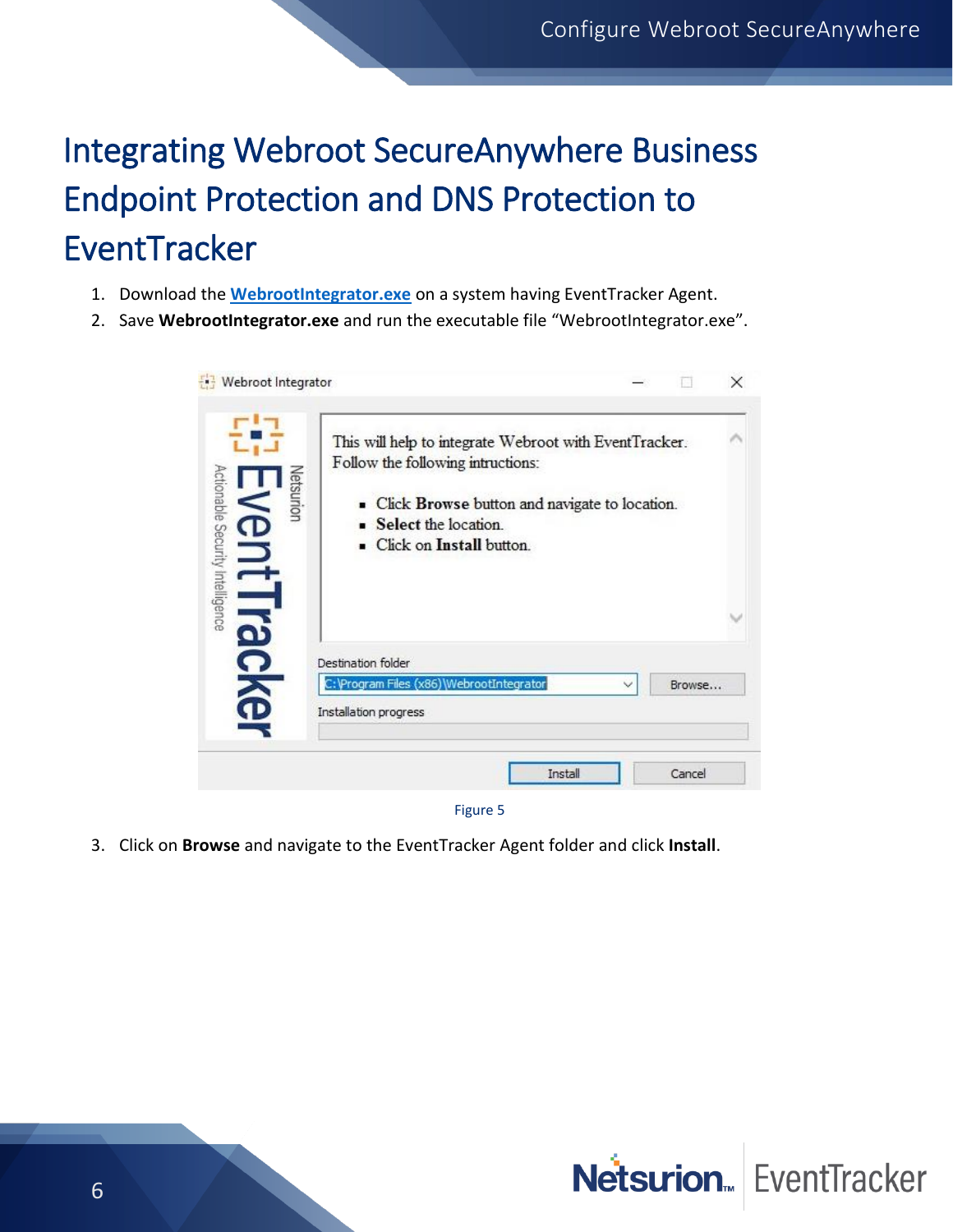## <span id="page-6-0"></span>Integrating Webroot SecureAnywhere Business Endpoint Protection and DNS Protection to **EventTracker**

- 1. Download the **[WebrootIntegrator.exe](https://downloads.eventtracker.com/kp-integrator/WebrootIntegrator.exe)** on a system having EventTracker Agent.
- 2. Save **WebrootIntegrator.exe** and run the executable file "WebrootIntegrator.exe".

| Webroot Integrator                            |                                                                                                                                                                                                    |              |        | $\times$ |
|-----------------------------------------------|----------------------------------------------------------------------------------------------------------------------------------------------------------------------------------------------------|--------------|--------|----------|
| Actionable Security Intelligence<br>Vetsurion | This will help to integrate Webroot with EventTracker.<br>Follow the following intructions:<br>• Click Browse button and navigate to location.<br>Select the location.<br>Click on Install button. |              |        |          |
|                                               | Destination folder<br>C: \Program Files (x86)\WebrootIntegrator<br>Installation progress                                                                                                           | $\checkmark$ | Browse |          |
|                                               | Install                                                                                                                                                                                            |              | Cancel |          |

- Figure 5
- 3. Click on **Browse** and navigate to the EventTracker Agent folder and click **Install**.

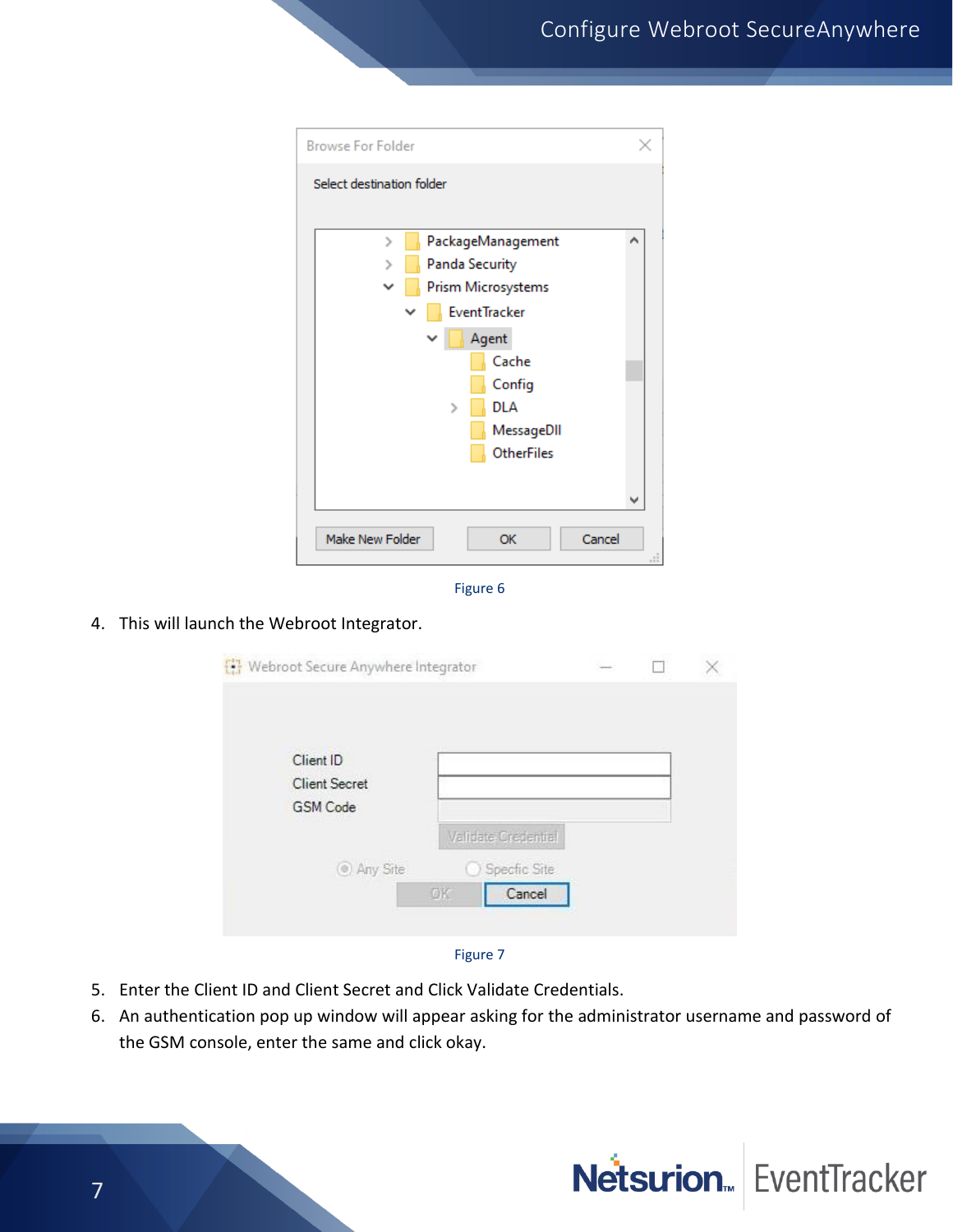| <b>Browse For Folder</b>               |   |
|----------------------------------------|---|
| Select destination folder              |   |
|                                        |   |
| PackageManagement<br>$\mathcal{P}$     | ́ |
| <b>Panda Security</b>                  |   |
| Prism Microsystems                     |   |
| <b>EventTracker</b>                    |   |
| Agent                                  |   |
| Cache                                  |   |
| Config                                 |   |
| <b>DLA</b><br>У                        |   |
| MessageDII                             |   |
| <b>OtherFiles</b>                      |   |
|                                        |   |
|                                        |   |
|                                        |   |
| Make New Folder<br>Cancel<br><b>OK</b> |   |
|                                        |   |



#### 4. This will launch the Webroot Integrator.

| Webroot Secure Anywhere Integrator |                     |  |  |
|------------------------------------|---------------------|--|--|
|                                    |                     |  |  |
| Specfic Site<br>Cancel             |                     |  |  |
|                                    | Validate Credential |  |  |

#### Figure 7

- 5. Enter the Client ID and Client Secret and Click Validate Credentials.
- 6. An authentication pop up window will appear asking for the administrator username and password of the GSM console, enter the same and click okay.

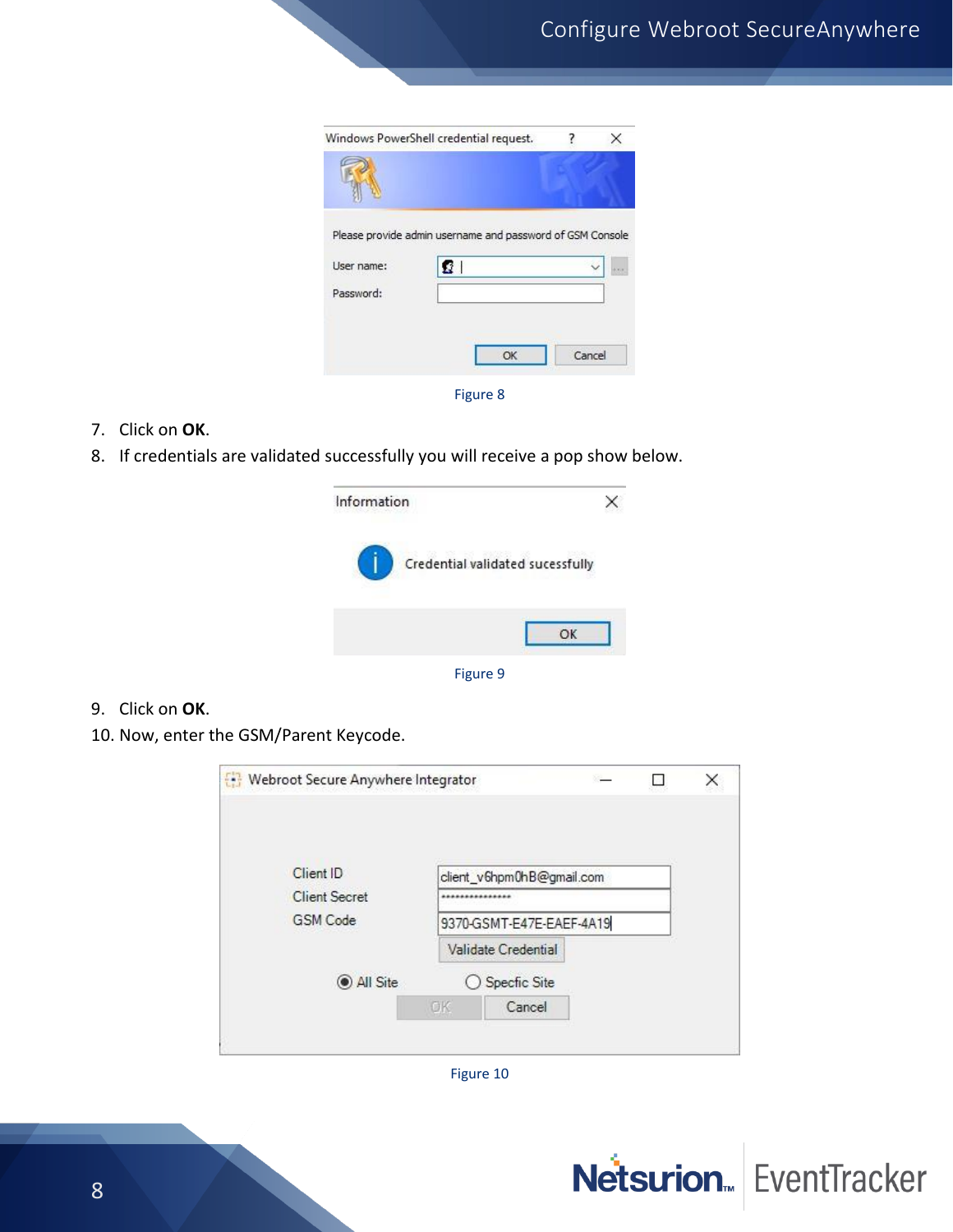|            | Windows PowerShell credential request.                          |        | × |
|------------|-----------------------------------------------------------------|--------|---|
|            |                                                                 |        |   |
| User name: | Please provide admin username and password of GSM Console<br>ΩI |        |   |
| Password:  |                                                                 |        |   |
|            | OK                                                              | Cancel |   |
|            | Figure 8                                                        |        |   |

- 7. Click on **OK**.
- 8. If credentials are validated successfully you will receive a pop show below.



Figure 9

- 9. Click on **OK**.
- 10. Now, enter the GSM/Parent Keycode.

|    |        |                                                                                               |                                                       | × |
|----|--------|-----------------------------------------------------------------------------------------------|-------------------------------------------------------|---|
|    |        |                                                                                               |                                                       |   |
|    |        |                                                                                               |                                                       |   |
| OK | Cancel |                                                                                               |                                                       |   |
|    |        | Webroot Secure Anywhere Integrator<br>**************<br>Validate Credential<br>○ Specfic Site | client_v6hpm0hB@gmail.com<br>9370-GSMT-E47E-EAEF-4A19 |   |

Figure 10

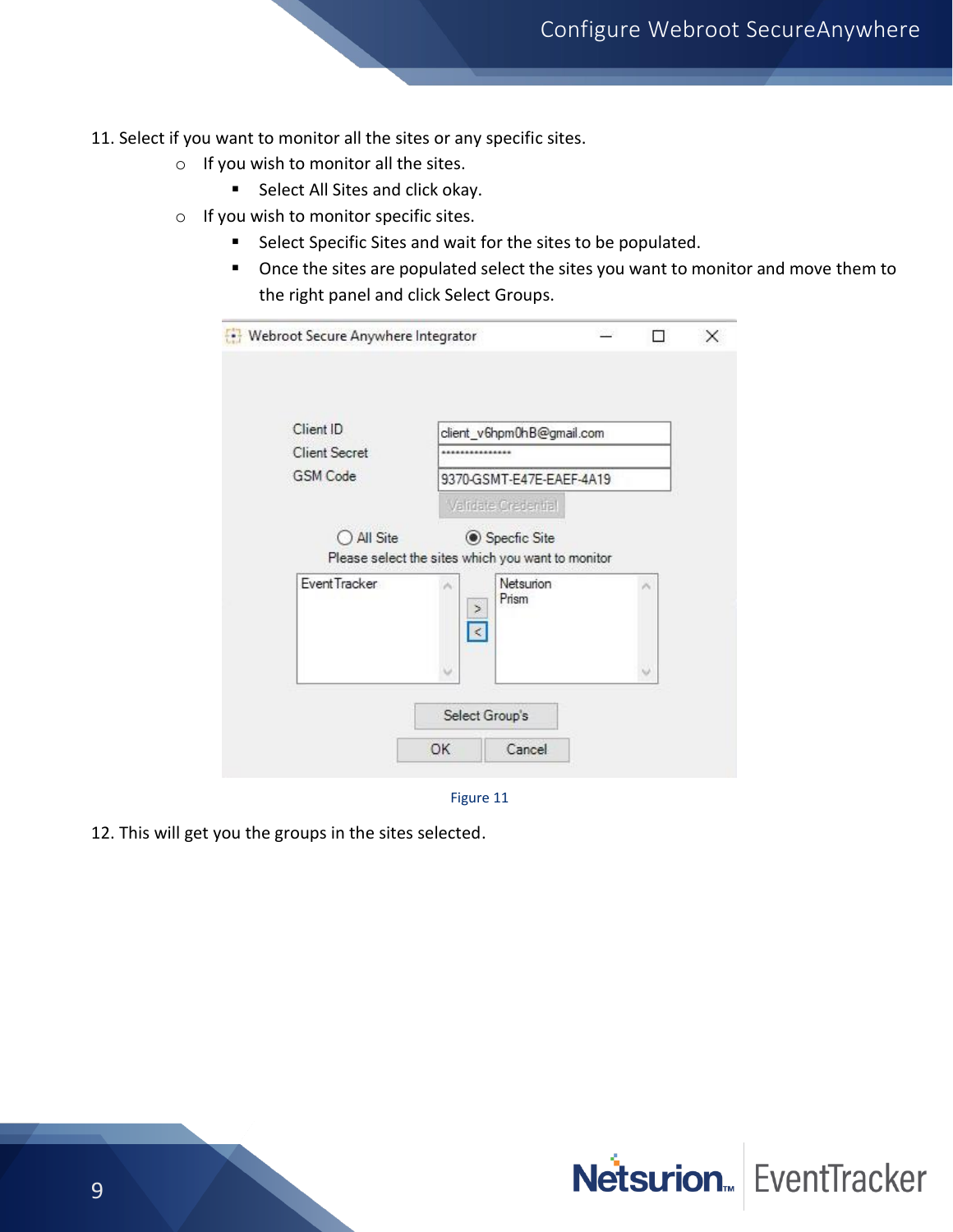- 11. Select if you want to monitor all the sites or any specific sites.
	- o If you wish to monitor all the sites.
		- Select All Sites and click okay.
	- o If you wish to monitor specific sites.
		- Select Specific Sites and wait for the sites to be populated.
		- Once the sites are populated select the sites you want to monitor and move them to the right panel and click Select Groups.

| Client ID            | client_v6hpm0hB@gmail.com                                         |   |
|----------------------|-------------------------------------------------------------------|---|
| <b>Client Secret</b> |                                                                   |   |
| <b>GSM Code</b>      | 9370-GSMT-E47E-EAEF-4A19                                          |   |
|                      | Validate Credential                                               |   |
| $\bigcirc$ All Site  | Specfic Site<br>Please select the sites which you want to monitor |   |
| Event Tracker        | Netsurion<br>×<br>Prism<br>×                                      | × |
|                      | $\leq$                                                            | v |

Figure 11

12. This will get you the groups in the sites selected.